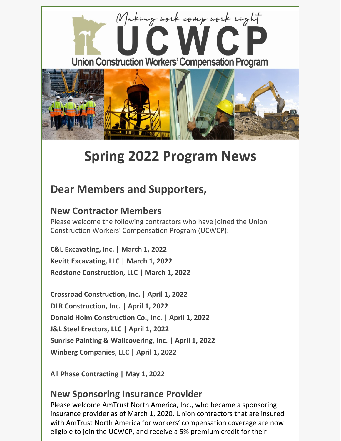

# **Spring 2022 Program News**

# **Dear Members and Supporters,**

## **New Contractor Members**

Please welcome the following contractors who have joined the Union Construction Workers' Compensation Program (UCWCP):

**C&L Excavating, Inc. | March 1, 2022 Kevitt Excavating, LLC | March 1, 2022 Redstone Construction, LLC | March 1, 2022**

**Crossroad Construction, Inc. | April 1, 2022 DLR Construction, Inc. | April 1, 2022 Donald Holm Construction Co., Inc. | April 1, 2022 J&L Steel Erectors, LLC | April 1, 2022 Sunrise Painting & Wallcovering, Inc. | April 1, 2022 Winberg Companies, LLC | April 1, 2022**

**All Phase Contracting | May 1, 2022**

### **New Sponsoring Insurance Provider**

Please welcome AmTrust North America, Inc., who became a sponsoring insurance provider as of March 1, 2020. Union contractors that are insured with AmTrust North America for workers' compensation coverage are now eligible to join the UCWCP, and receive a 5% premium credit for their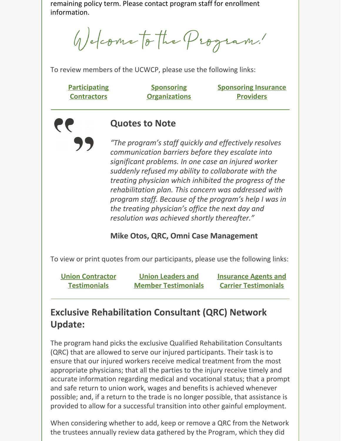remaining policy term. Please contact program staff for enrollment information.

Welcome to the Program!

To review members of the UCWCP, please use the following links:

| <b>Participating</b> | <b>Sponsoring</b>    | <b>Sponsoring Insurance</b> |
|----------------------|----------------------|-----------------------------|
| <b>Contractors</b>   | <b>Organizations</b> | <b>Providers</b>            |

#### **Quotes to Note**

*"The program's staff quickly and effectively resolves communication barriers before they escalate into significant problems. In one case an injured worker suddenly refused my ability to collaborate with the treating physician which inhibited the progress of the rehabilitation plan. This concern was addressed with program staff. Because of the program's help I was in the treating physician's office the next day and resolution was achieved shortly thereafter."*

#### **Mike Otos, QRC, Omni Case Management**

To view or print quotes from our participants, please use the following links:

| <b>Union Contractor</b> | <b>Union Leaders and</b>   | <b>Insurance Agents and</b> |
|-------------------------|----------------------------|-----------------------------|
| <b>Testimonials</b>     | <b>Member Testimonials</b> | <b>Carrier Testimonials</b> |

# **Exclusive Rehabilitation Consultant (QRC) Network Update:**

The program hand picks the exclusive Qualified Rehabilitation Consultants (QRC) that are allowed to serve our injured participants. Their task is to ensure that our injured workers receive medical treatment from the most appropriate physicians; that all the parties to the injury receive timely and accurate information regarding medical and vocational status; that a prompt and safe return to union work, wages and benefits is achieved whenever possible; and, if a return to the trade is no longer possible, that assistance is provided to allow for a successful transition into other gainful employment.

When considering whether to add, keep or remove a QRC from the Network the trustees annually review data gathered by the Program, which they did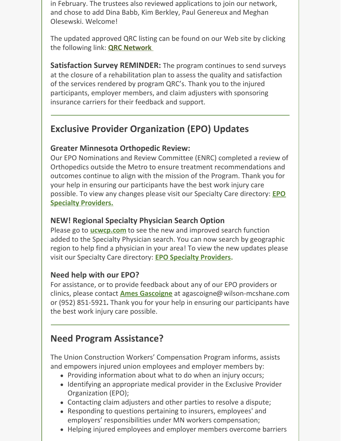in February. The trustees also reviewed applications to join our network, and chose to add Dina Babb, Kim Berkley, Paul Genereux and Meghan Olesewski. Welcome!

The updated approved QRC listing can be found on our Web site by clicking the following link: **QRC [Network](http://www.ucwcp.com/docs/Qualified Rehab Consultants List.pdf)**

**Satisfaction Survey REMINDER:** The program continues to send surveys at the closure of a rehabilitation plan to assess the quality and satisfaction of the services rendered by program QRC's. Thank you to the injured participants, employer members, and claim adjusters with sponsoring insurance carriers for their feedback and support.

## **Exclusive Provider Organization (EPO) Updates**

#### **Greater Minnesota Orthopedic Review:**

Our EPO Nominations and Review Committee (ENRC) completed a review of Orthopedics outside the Metro to ensure treatment recommendations and outcomes continue to align with the mission of the Program. Thank you for your help in ensuring our participants have the best work injury care possible. To view any changes please visit our Specialty Care directory: **EPO Specialty [Providers.](http://www.ucwcp.com/specialtyproviders.aspx)**

#### **NEW! Regional Specialty Physician Search Option**

Please go to **[ucwcp.com](http://www.ucwcp.com/default_ucwcp.aspx)** to see the new and improved search function added to the Specialty Physician search. You can now search by geographic region to help find a physician in your area! To view the new updates please visit our Specialty Care directory: **EPO Specialty [Providers](http://www.ucwcp.com/specialtyproviders.aspx).**

#### **Need help with our EPO?**

For assistance, or to provide feedback about any of our EPO providers or clinics, please contact **Ames [Gascoigne](mailto:agascoigne@wilson-mcshane.com)** at [agascoigne@wilson-mcshane.com](mailto:agascoigne@wilson-mcshane.com) or (952) 851-5921**.** Thank you for your help in ensuring our participants have the best work injury care possible.

## **Need Program Assistance?**

The Union Construction Workers' Compensation Program informs, assists and empowers injured union employees and employer members by:

- Providing information about what to do when an injury occurs;
- Identifying an appropriate medical provider in the Exclusive Provider Organization (EPO);
- Contacting claim adjusters and other parties to resolve a dispute;
- Responding to questions pertaining to insurers, employees' and employers' responsibilities under MN workers compensation;
- Helping injured employees and employer members overcome barriers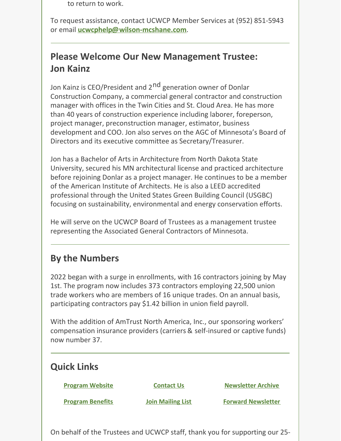to return to work.

To request assistance, contact UCWCP Member Services at (952) 851-5943 or email **[ucwcphelp@wilson-mcshane.com](mailto:ucwcphelp@wilson-mcshane.com)**.

# **Please Welcome Our New Management Trustee: Jon Kainz**

Jon Kainz is CEO/President and 2<sup>nd</sup> generation owner of Donlar Construction Company, a commercial general contractor and construction manager with offices in the Twin Cities and St. Cloud Area. He has more than 40 years of construction experience including laborer, foreperson, project manager, preconstruction manager, estimator, business development and COO. Jon also serves on the AGC of Minnesota's Board of Directors and its executive committee as Secretary/Treasurer.

Jon has a Bachelor of Arts in Architecture from North Dakota State University, secured his MN architectural license and practiced architecture before rejoining Donlar as a project manager. He continues to be a member of the American Institute of Architects. He is also a LEED accredited professional through the United States Green Building Council (USGBC) focusing on sustainability, environmental and energy conservation efforts.

He will serve on the UCWCP Board of Trustees as a management trustee representing the Associated General Contractors of Minnesota.

# **By the Numbers**

2022 began with a surge in enrollments, with 16 contractors joining by May 1st. The program now includes 373 contractors employing 22,500 union trade workers who are members of 16 unique trades. On an annual basis, participating contractors pay \$1.42 billion in union field payroll.

With the addition of AmTrust North America, Inc., our sponsoring workers' compensation insurance providers (carriers & self-insured or captive funds) now number 37.

| <b>Quick Links</b>      |                          |                           |
|-------------------------|--------------------------|---------------------------|
| <b>Program Website</b>  | <b>Contact Us</b>        | <b>Newsletter Archive</b> |
| <b>Program Benefits</b> | <b>Join Mailing List</b> | <b>Forward Newsletter</b> |
|                         |                          |                           |

On behalf of the Trustees and UCWCP staff, thank you for supporting our 25-